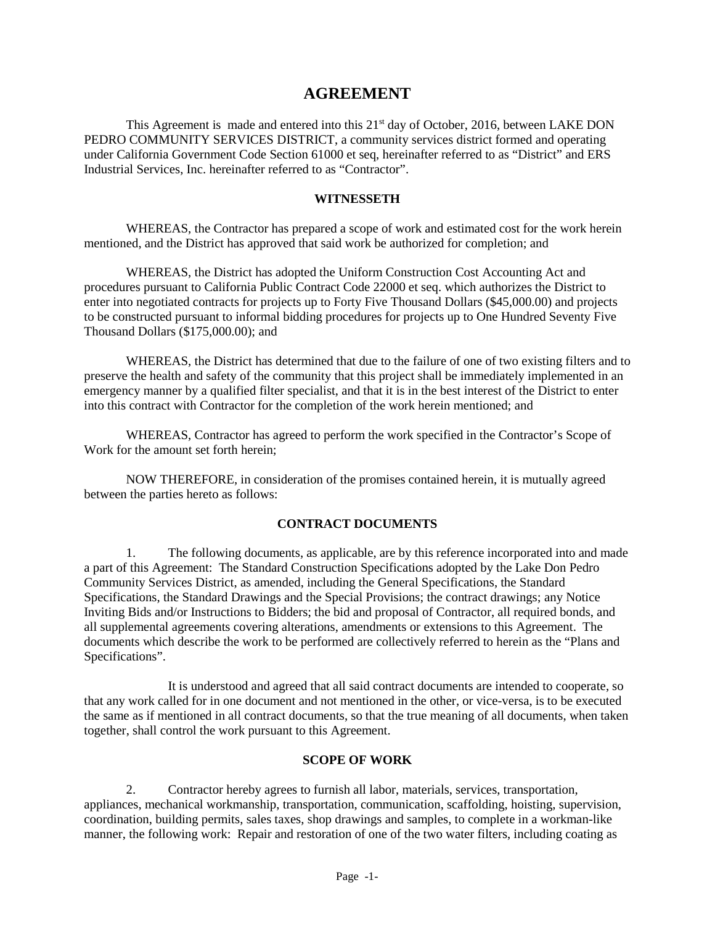# **AGREEMENT**

This Agreement is made and entered into this  $21<sup>st</sup>$  day of October, 2016, between LAKE DON PEDRO COMMUNITY SERVICES DISTRICT, a community services district formed and operating under California Government Code Section 61000 et seq, hereinafter referred to as "District" and ERS Industrial Services, Inc. hereinafter referred to as "Contractor".

### **WITNESSETH**

WHEREAS, the Contractor has prepared a scope of work and estimated cost for the work herein mentioned, and the District has approved that said work be authorized for completion; and

WHEREAS, the District has adopted the Uniform Construction Cost Accounting Act and procedures pursuant to California Public Contract Code 22000 et seq. which authorizes the District to enter into negotiated contracts for projects up to Forty Five Thousand Dollars (\$45,000.00) and projects to be constructed pursuant to informal bidding procedures for projects up to One Hundred Seventy Five Thousand Dollars (\$175,000.00); and

WHEREAS, the District has determined that due to the failure of one of two existing filters and to preserve the health and safety of the community that this project shall be immediately implemented in an emergency manner by a qualified filter specialist, and that it is in the best interest of the District to enter into this contract with Contractor for the completion of the work herein mentioned; and

WHEREAS, Contractor has agreed to perform the work specified in the Contractor's Scope of Work for the amount set forth herein;

NOW THEREFORE, in consideration of the promises contained herein, it is mutually agreed between the parties hereto as follows:

### **CONTRACT DOCUMENTS**

1. The following documents, as applicable, are by this reference incorporated into and made a part of this Agreement: The Standard Construction Specifications adopted by the Lake Don Pedro Community Services District, as amended, including the General Specifications, the Standard Specifications, the Standard Drawings and the Special Provisions; the contract drawings; any Notice Inviting Bids and/or Instructions to Bidders; the bid and proposal of Contractor, all required bonds, and all supplemental agreements covering alterations, amendments or extensions to this Agreement. The documents which describe the work to be performed are collectively referred to herein as the "Plans and Specifications".

It is understood and agreed that all said contract documents are intended to cooperate, so that any work called for in one document and not mentioned in the other, or vice-versa, is to be executed the same as if mentioned in all contract documents, so that the true meaning of all documents, when taken together, shall control the work pursuant to this Agreement.

### **SCOPE OF WORK**

2. Contractor hereby agrees to furnish all labor, materials, services, transportation, appliances, mechanical workmanship, transportation, communication, scaffolding, hoisting, supervision, coordination, building permits, sales taxes, shop drawings and samples, to complete in a workman-like manner, the following work: Repair and restoration of one of the two water filters, including coating as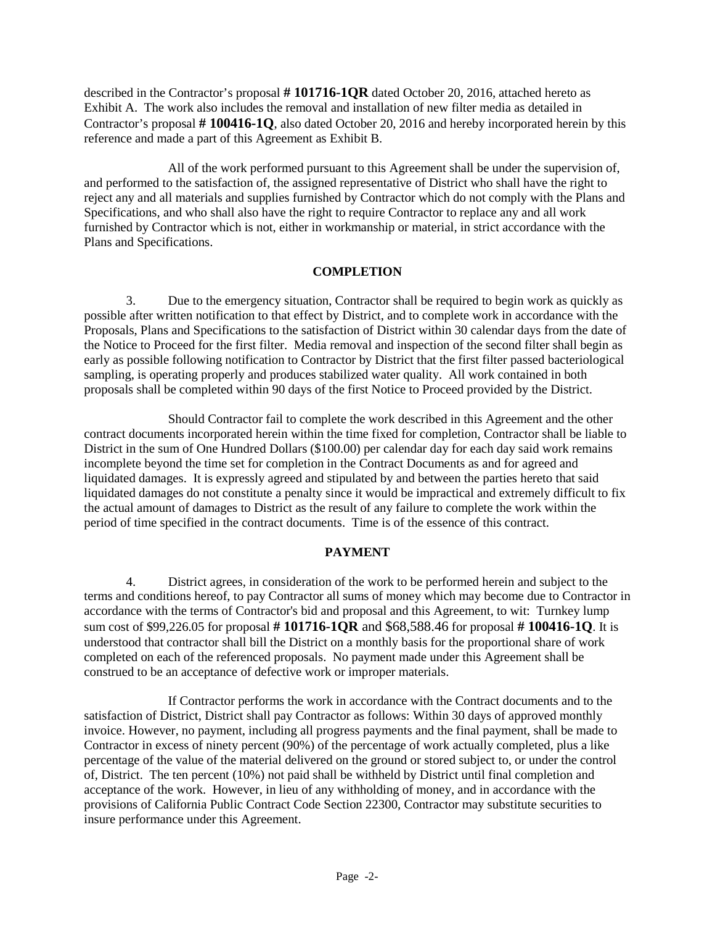described in the Contractor's proposal **# 101716-1QR** dated October 20, 2016, attached hereto as Exhibit A. The work also includes the removal and installation of new filter media as detailed in Contractor's proposal **# 100416-1Q**, also dated October 20, 2016 and hereby incorporated herein by this reference and made a part of this Agreement as Exhibit B.

All of the work performed pursuant to this Agreement shall be under the supervision of, and performed to the satisfaction of, the assigned representative of District who shall have the right to reject any and all materials and supplies furnished by Contractor which do not comply with the Plans and Specifications, and who shall also have the right to require Contractor to replace any and all work furnished by Contractor which is not, either in workmanship or material, in strict accordance with the Plans and Specifications.

### **COMPLETION**

3. Due to the emergency situation, Contractor shall be required to begin work as quickly as possible after written notification to that effect by District, and to complete work in accordance with the Proposals, Plans and Specifications to the satisfaction of District within 30 calendar days from the date of the Notice to Proceed for the first filter. Media removal and inspection of the second filter shall begin as early as possible following notification to Contractor by District that the first filter passed bacteriological sampling, is operating properly and produces stabilized water quality. All work contained in both proposals shall be completed within 90 days of the first Notice to Proceed provided by the District.

Should Contractor fail to complete the work described in this Agreement and the other contract documents incorporated herein within the time fixed for completion, Contractor shall be liable to District in the sum of One Hundred Dollars (\$100.00) per calendar day for each day said work remains incomplete beyond the time set for completion in the Contract Documents as and for agreed and liquidated damages. It is expressly agreed and stipulated by and between the parties hereto that said liquidated damages do not constitute a penalty since it would be impractical and extremely difficult to fix the actual amount of damages to District as the result of any failure to complete the work within the period of time specified in the contract documents. Time is of the essence of this contract.

## **PAYMENT**

4. District agrees, in consideration of the work to be performed herein and subject to the terms and conditions hereof, to pay Contractor all sums of money which may become due to Contractor in accordance with the terms of Contractor's bid and proposal and this Agreement, to wit: Turnkey lump sum cost of \$99,226.05 for proposal **# 101716-1QR** and \$68,588.46 for proposal **# 100416-1Q**. It is understood that contractor shall bill the District on a monthly basis for the proportional share of work completed on each of the referenced proposals. No payment made under this Agreement shall be construed to be an acceptance of defective work or improper materials.

If Contractor performs the work in accordance with the Contract documents and to the satisfaction of District, District shall pay Contractor as follows: Within 30 days of approved monthly invoice. However, no payment, including all progress payments and the final payment, shall be made to Contractor in excess of ninety percent (90%) of the percentage of work actually completed, plus a like percentage of the value of the material delivered on the ground or stored subject to, or under the control of, District. The ten percent (10%) not paid shall be withheld by District until final completion and acceptance of the work. However, in lieu of any withholding of money, and in accordance with the provisions of California Public Contract Code Section 22300, Contractor may substitute securities to insure performance under this Agreement.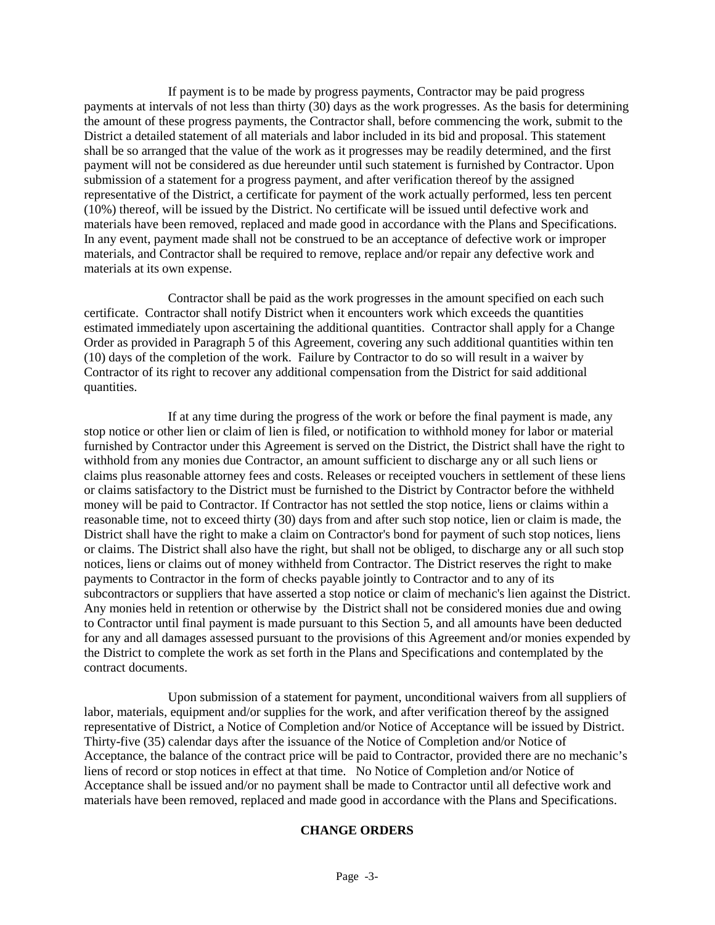If payment is to be made by progress payments, Contractor may be paid progress payments at intervals of not less than thirty (30) days as the work progresses. As the basis for determining the amount of these progress payments, the Contractor shall, before commencing the work, submit to the District a detailed statement of all materials and labor included in its bid and proposal. This statement shall be so arranged that the value of the work as it progresses may be readily determined, and the first payment will not be considered as due hereunder until such statement is furnished by Contractor. Upon submission of a statement for a progress payment, and after verification thereof by the assigned representative of the District, a certificate for payment of the work actually performed, less ten percent (10%) thereof, will be issued by the District. No certificate will be issued until defective work and materials have been removed, replaced and made good in accordance with the Plans and Specifications. In any event, payment made shall not be construed to be an acceptance of defective work or improper materials, and Contractor shall be required to remove, replace and/or repair any defective work and materials at its own expense.

Contractor shall be paid as the work progresses in the amount specified on each such certificate. Contractor shall notify District when it encounters work which exceeds the quantities estimated immediately upon ascertaining the additional quantities. Contractor shall apply for a Change Order as provided in Paragraph 5 of this Agreement, covering any such additional quantities within ten (10) days of the completion of the work. Failure by Contractor to do so will result in a waiver by Contractor of its right to recover any additional compensation from the District for said additional quantities.

If at any time during the progress of the work or before the final payment is made, any stop notice or other lien or claim of lien is filed, or notification to withhold money for labor or material furnished by Contractor under this Agreement is served on the District, the District shall have the right to withhold from any monies due Contractor, an amount sufficient to discharge any or all such liens or claims plus reasonable attorney fees and costs. Releases or receipted vouchers in settlement of these liens or claims satisfactory to the District must be furnished to the District by Contractor before the withheld money will be paid to Contractor. If Contractor has not settled the stop notice, liens or claims within a reasonable time, not to exceed thirty (30) days from and after such stop notice, lien or claim is made, the District shall have the right to make a claim on Contractor's bond for payment of such stop notices, liens or claims. The District shall also have the right, but shall not be obliged, to discharge any or all such stop notices, liens or claims out of money withheld from Contractor. The District reserves the right to make payments to Contractor in the form of checks payable jointly to Contractor and to any of its subcontractors or suppliers that have asserted a stop notice or claim of mechanic's lien against the District. Any monies held in retention or otherwise by the District shall not be considered monies due and owing to Contractor until final payment is made pursuant to this Section 5, and all amounts have been deducted for any and all damages assessed pursuant to the provisions of this Agreement and/or monies expended by the District to complete the work as set forth in the Plans and Specifications and contemplated by the contract documents.

Upon submission of a statement for payment, unconditional waivers from all suppliers of labor, materials, equipment and/or supplies for the work, and after verification thereof by the assigned representative of District, a Notice of Completion and/or Notice of Acceptance will be issued by District. Thirty-five (35) calendar days after the issuance of the Notice of Completion and/or Notice of Acceptance, the balance of the contract price will be paid to Contractor, provided there are no mechanic's liens of record or stop notices in effect at that time. No Notice of Completion and/or Notice of Acceptance shall be issued and/or no payment shall be made to Contractor until all defective work and materials have been removed, replaced and made good in accordance with the Plans and Specifications.

### **CHANGE ORDERS**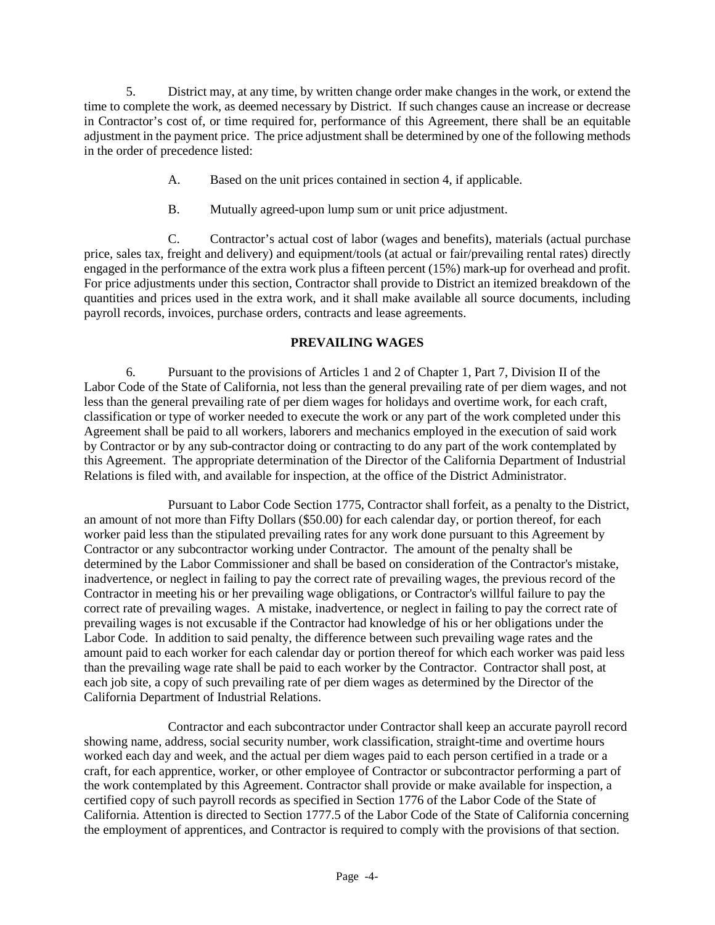5. District may, at any time, by written change order make changes in the work, or extend the time to complete the work, as deemed necessary by District. If such changes cause an increase or decrease in Contractor's cost of, or time required for, performance of this Agreement, there shall be an equitable adjustment in the payment price. The price adjustment shall be determined by one of the following methods in the order of precedence listed:

- A. Based on the unit prices contained in section 4, if applicable.
- B. Mutually agreed-upon lump sum or unit price adjustment.

C. Contractor's actual cost of labor (wages and benefits), materials (actual purchase price, sales tax, freight and delivery) and equipment/tools (at actual or fair/prevailing rental rates) directly engaged in the performance of the extra work plus a fifteen percent (15%) mark-up for overhead and profit. For price adjustments under this section, Contractor shall provide to District an itemized breakdown of the quantities and prices used in the extra work, and it shall make available all source documents, including payroll records, invoices, purchase orders, contracts and lease agreements.

## **PREVAILING WAGES**

6. Pursuant to the provisions of Articles 1 and 2 of Chapter 1, Part 7, Division II of the Labor Code of the State of California, not less than the general prevailing rate of per diem wages, and not less than the general prevailing rate of per diem wages for holidays and overtime work, for each craft, classification or type of worker needed to execute the work or any part of the work completed under this Agreement shall be paid to all workers, laborers and mechanics employed in the execution of said work by Contractor or by any sub-contractor doing or contracting to do any part of the work contemplated by this Agreement. The appropriate determination of the Director of the California Department of Industrial Relations is filed with, and available for inspection, at the office of the District Administrator.

Pursuant to Labor Code Section 1775, Contractor shall forfeit, as a penalty to the District, an amount of not more than Fifty Dollars (\$50.00) for each calendar day, or portion thereof, for each worker paid less than the stipulated prevailing rates for any work done pursuant to this Agreement by Contractor or any subcontractor working under Contractor. The amount of the penalty shall be determined by the Labor Commissioner and shall be based on consideration of the Contractor's mistake, inadvertence, or neglect in failing to pay the correct rate of prevailing wages, the previous record of the Contractor in meeting his or her prevailing wage obligations, or Contractor's willful failure to pay the correct rate of prevailing wages. A mistake, inadvertence, or neglect in failing to pay the correct rate of prevailing wages is not excusable if the Contractor had knowledge of his or her obligations under the Labor Code. In addition to said penalty, the difference between such prevailing wage rates and the amount paid to each worker for each calendar day or portion thereof for which each worker was paid less than the prevailing wage rate shall be paid to each worker by the Contractor. Contractor shall post, at each job site, a copy of such prevailing rate of per diem wages as determined by the Director of the California Department of Industrial Relations.

Contractor and each subcontractor under Contractor shall keep an accurate payroll record showing name, address, social security number, work classification, straight-time and overtime hours worked each day and week, and the actual per diem wages paid to each person certified in a trade or a craft, for each apprentice, worker, or other employee of Contractor or subcontractor performing a part of the work contemplated by this Agreement. Contractor shall provide or make available for inspection, a certified copy of such payroll records as specified in Section 1776 of the Labor Code of the State of California. Attention is directed to Section 1777.5 of the Labor Code of the State of California concerning the employment of apprentices, and Contractor is required to comply with the provisions of that section.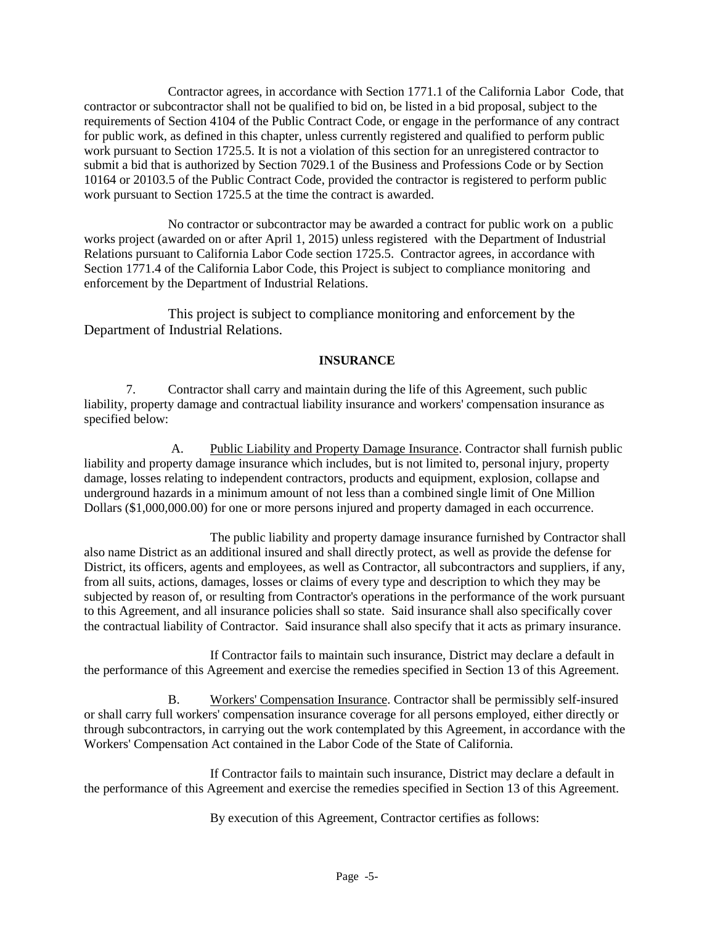Contractor agrees, in accordance with Section 1771.1 of the California Labor Code, that contractor or subcontractor shall not be qualified to bid on, be listed in a bid proposal, subject to the requirements of Section 4104 of the Public Contract Code, or engage in the performance of any contract for public work, as defined in this chapter, unless currently registered and qualified to perform public work pursuant to Section 1725.5. It is not a violation of this section for an unregistered contractor to submit a bid that is authorized by Section 7029.1 of the Business and Professions Code or by Section 10164 or 20103.5 of the Public Contract Code, provided the contractor is registered to perform public work pursuant to Section 1725.5 at the time the contract is awarded.

No contractor or subcontractor may be awarded a contract for public work on a public works project (awarded on or after April 1, 2015) unless registered with the Department of Industrial Relations pursuant to California Labor Code section 1725.5. Contractor agrees, in accordance with Section 1771.4 of the California Labor Code, this Project is subject to compliance monitoring and enforcement by the Department of Industrial Relations.

This project is subject to compliance monitoring and enforcement by the Department of Industrial Relations.

## **INSURANCE**

7. Contractor shall carry and maintain during the life of this Agreement, such public liability, property damage and contractual liability insurance and workers' compensation insurance as specified below:

A. Public Liability and Property Damage Insurance. Contractor shall furnish public liability and property damage insurance which includes, but is not limited to, personal injury, property damage, losses relating to independent contractors, products and equipment, explosion, collapse and underground hazards in a minimum amount of not less than a combined single limit of One Million Dollars (\$1,000,000.00) for one or more persons injured and property damaged in each occurrence.

The public liability and property damage insurance furnished by Contractor shall also name District as an additional insured and shall directly protect, as well as provide the defense for District, its officers, agents and employees, as well as Contractor, all subcontractors and suppliers, if any, from all suits, actions, damages, losses or claims of every type and description to which they may be subjected by reason of, or resulting from Contractor's operations in the performance of the work pursuant to this Agreement, and all insurance policies shall so state. Said insurance shall also specifically cover the contractual liability of Contractor. Said insurance shall also specify that it acts as primary insurance.

If Contractor fails to maintain such insurance, District may declare a default in the performance of this Agreement and exercise the remedies specified in Section 13 of this Agreement.

B. Workers' Compensation Insurance. Contractor shall be permissibly self-insured or shall carry full workers' compensation insurance coverage for all persons employed, either directly or through subcontractors, in carrying out the work contemplated by this Agreement, in accordance with the Workers' Compensation Act contained in the Labor Code of the State of California.

If Contractor fails to maintain such insurance, District may declare a default in the performance of this Agreement and exercise the remedies specified in Section 13 of this Agreement.

By execution of this Agreement, Contractor certifies as follows: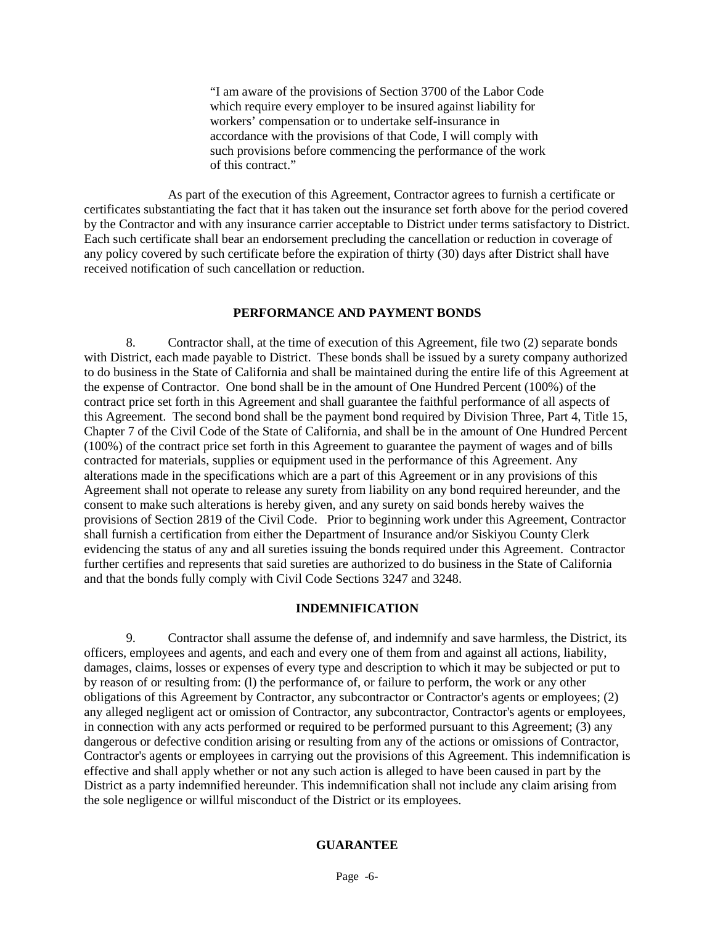"I am aware of the provisions of Section 3700 of the Labor Code which require every employer to be insured against liability for workers' compensation or to undertake self-insurance in accordance with the provisions of that Code, I will comply with such provisions before commencing the performance of the work of this contract."

As part of the execution of this Agreement, Contractor agrees to furnish a certificate or certificates substantiating the fact that it has taken out the insurance set forth above for the period covered by the Contractor and with any insurance carrier acceptable to District under terms satisfactory to District. Each such certificate shall bear an endorsement precluding the cancellation or reduction in coverage of any policy covered by such certificate before the expiration of thirty (30) days after District shall have received notification of such cancellation or reduction.

#### **PERFORMANCE AND PAYMENT BONDS**

8. Contractor shall, at the time of execution of this Agreement, file two (2) separate bonds with District, each made payable to District. These bonds shall be issued by a surety company authorized to do business in the State of California and shall be maintained during the entire life of this Agreement at the expense of Contractor. One bond shall be in the amount of One Hundred Percent (100%) of the contract price set forth in this Agreement and shall guarantee the faithful performance of all aspects of this Agreement. The second bond shall be the payment bond required by Division Three, Part 4, Title 15, Chapter 7 of the Civil Code of the State of California, and shall be in the amount of One Hundred Percent (100%) of the contract price set forth in this Agreement to guarantee the payment of wages and of bills contracted for materials, supplies or equipment used in the performance of this Agreement. Any alterations made in the specifications which are a part of this Agreement or in any provisions of this Agreement shall not operate to release any surety from liability on any bond required hereunder, and the consent to make such alterations is hereby given, and any surety on said bonds hereby waives the provisions of Section 2819 of the Civil Code. Prior to beginning work under this Agreement, Contractor shall furnish a certification from either the Department of Insurance and/or Siskiyou County Clerk evidencing the status of any and all sureties issuing the bonds required under this Agreement. Contractor further certifies and represents that said sureties are authorized to do business in the State of California and that the bonds fully comply with Civil Code Sections 3247 and 3248.

#### **INDEMNIFICATION**

9. Contractor shall assume the defense of, and indemnify and save harmless, the District, its officers, employees and agents, and each and every one of them from and against all actions, liability, damages, claims, losses or expenses of every type and description to which it may be subjected or put to by reason of or resulting from: (l) the performance of, or failure to perform, the work or any other obligations of this Agreement by Contractor, any subcontractor or Contractor's agents or employees; (2) any alleged negligent act or omission of Contractor, any subcontractor, Contractor's agents or employees, in connection with any acts performed or required to be performed pursuant to this Agreement;  $(3)$  any dangerous or defective condition arising or resulting from any of the actions or omissions of Contractor, Contractor's agents or employees in carrying out the provisions of this Agreement. This indemnification is effective and shall apply whether or not any such action is alleged to have been caused in part by the District as a party indemnified hereunder. This indemnification shall not include any claim arising from the sole negligence or willful misconduct of the District or its employees.

#### **GUARANTEE**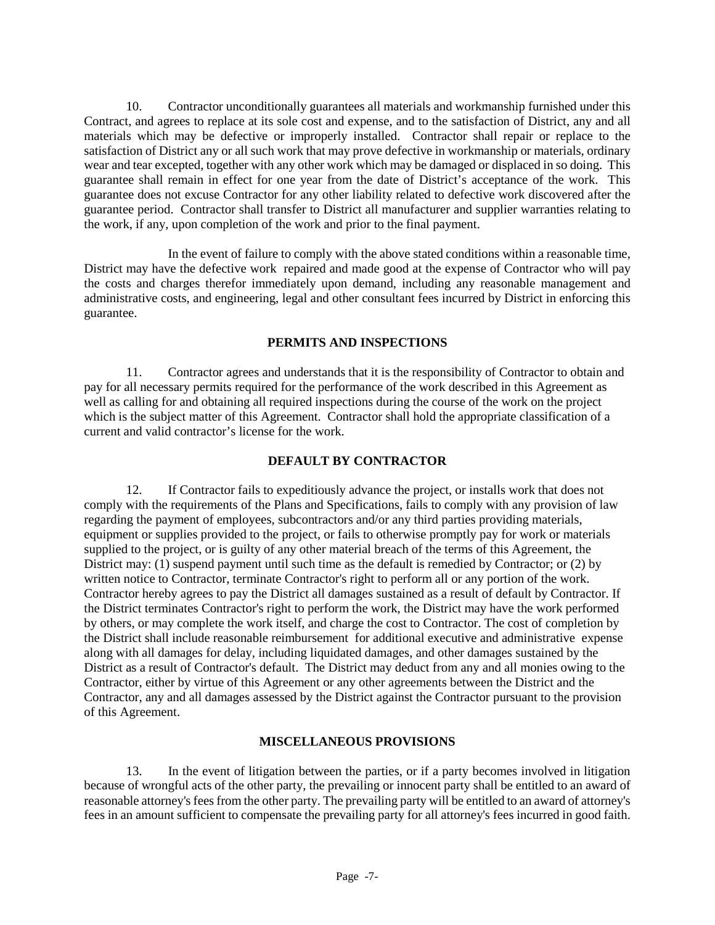10. Contractor unconditionally guarantees all materials and workmanship furnished under this Contract, and agrees to replace at its sole cost and expense, and to the satisfaction of District, any and all materials which may be defective or improperly installed. Contractor shall repair or replace to the satisfaction of District any or all such work that may prove defective in workmanship or materials, ordinary wear and tear excepted, together with any other work which may be damaged or displaced in so doing. This guarantee shall remain in effect for one year from the date of District's acceptance of the work. This guarantee does not excuse Contractor for any other liability related to defective work discovered after the guarantee period. Contractor shall transfer to District all manufacturer and supplier warranties relating to the work, if any, upon completion of the work and prior to the final payment.

In the event of failure to comply with the above stated conditions within a reasonable time, District may have the defective work repaired and made good at the expense of Contractor who will pay the costs and charges therefor immediately upon demand, including any reasonable management and administrative costs, and engineering, legal and other consultant fees incurred by District in enforcing this guarantee.

## **PERMITS AND INSPECTIONS**

11. Contractor agrees and understands that it is the responsibility of Contractor to obtain and pay for all necessary permits required for the performance of the work described in this Agreement as well as calling for and obtaining all required inspections during the course of the work on the project which is the subject matter of this Agreement. Contractor shall hold the appropriate classification of a current and valid contractor's license for the work.

### **DEFAULT BY CONTRACTOR**

12. If Contractor fails to expeditiously advance the project, or installs work that does not comply with the requirements of the Plans and Specifications, fails to comply with any provision of law regarding the payment of employees, subcontractors and/or any third parties providing materials, equipment or supplies provided to the project, or fails to otherwise promptly pay for work or materials supplied to the project, or is guilty of any other material breach of the terms of this Agreement, the District may: (1) suspend payment until such time as the default is remedied by Contractor; or (2) by written notice to Contractor, terminate Contractor's right to perform all or any portion of the work. Contractor hereby agrees to pay the District all damages sustained as a result of default by Contractor. If the District terminates Contractor's right to perform the work, the District may have the work performed by others, or may complete the work itself, and charge the cost to Contractor. The cost of completion by the District shall include reasonable reimbursement for additional executive and administrative expense along with all damages for delay, including liquidated damages, and other damages sustained by the District as a result of Contractor's default. The District may deduct from any and all monies owing to the Contractor, either by virtue of this Agreement or any other agreements between the District and the Contractor, any and all damages assessed by the District against the Contractor pursuant to the provision of this Agreement.

## **MISCELLANEOUS PROVISIONS**

13. In the event of litigation between the parties, or if a party becomes involved in litigation because of wrongful acts of the other party, the prevailing or innocent party shall be entitled to an award of reasonable attorney's fees from the other party. The prevailing party will be entitled to an award of attorney's fees in an amount sufficient to compensate the prevailing party for all attorney's fees incurred in good faith.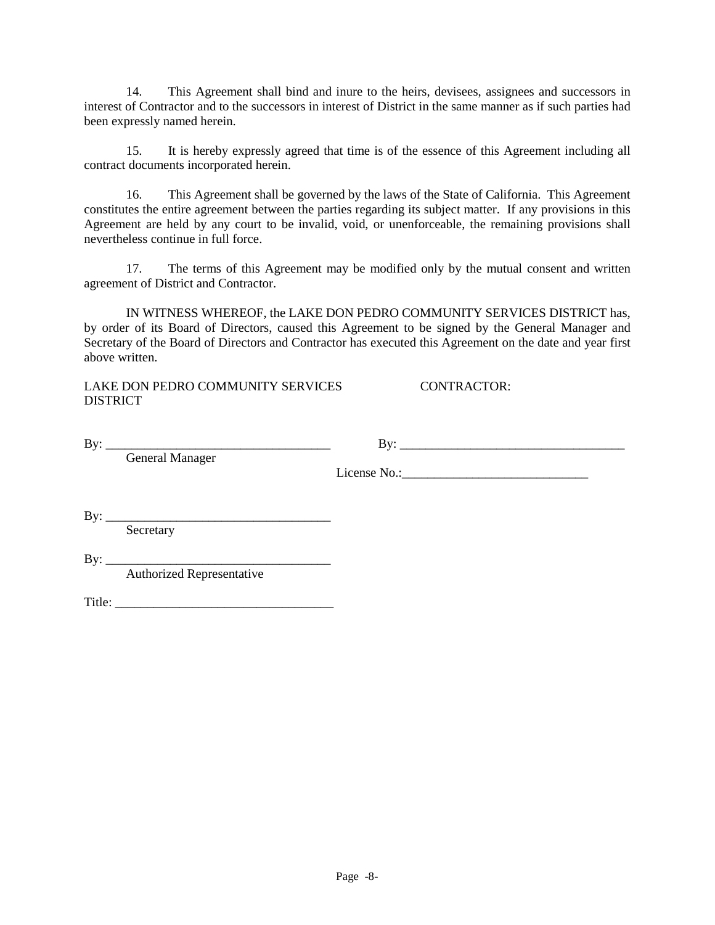14. This Agreement shall bind and inure to the heirs, devisees, assignees and successors in interest of Contractor and to the successors in interest of District in the same manner as if such parties had been expressly named herein.

15. It is hereby expressly agreed that time is of the essence of this Agreement including all contract documents incorporated herein.

16. This Agreement shall be governed by the laws of the State of California. This Agreement constitutes the entire agreement between the parties regarding its subject matter. If any provisions in this Agreement are held by any court to be invalid, void, or unenforceable, the remaining provisions shall nevertheless continue in full force.

17. The terms of this Agreement may be modified only by the mutual consent and written agreement of District and Contractor.

IN WITNESS WHEREOF, the LAKE DON PEDRO COMMUNITY SERVICES DISTRICT has, by order of its Board of Directors, caused this Agreement to be signed by the General Manager and Secretary of the Board of Directors and Contractor has executed this Agreement on the date and year first above written.

LAKE DON PEDRO COMMUNITY SERVICES CONTRACTOR: DISTRICT

| By: |                        |  |
|-----|------------------------|--|
|     | <b>General Manager</b> |  |
|     |                        |  |
|     |                        |  |
|     |                        |  |
| By: |                        |  |
|     | Secretary              |  |
|     |                        |  |

 $By:$ 

Authorized Representative

Title: \_\_\_\_\_\_\_\_\_\_\_\_\_\_\_\_\_\_\_\_\_\_\_\_\_\_\_\_\_\_\_\_\_\_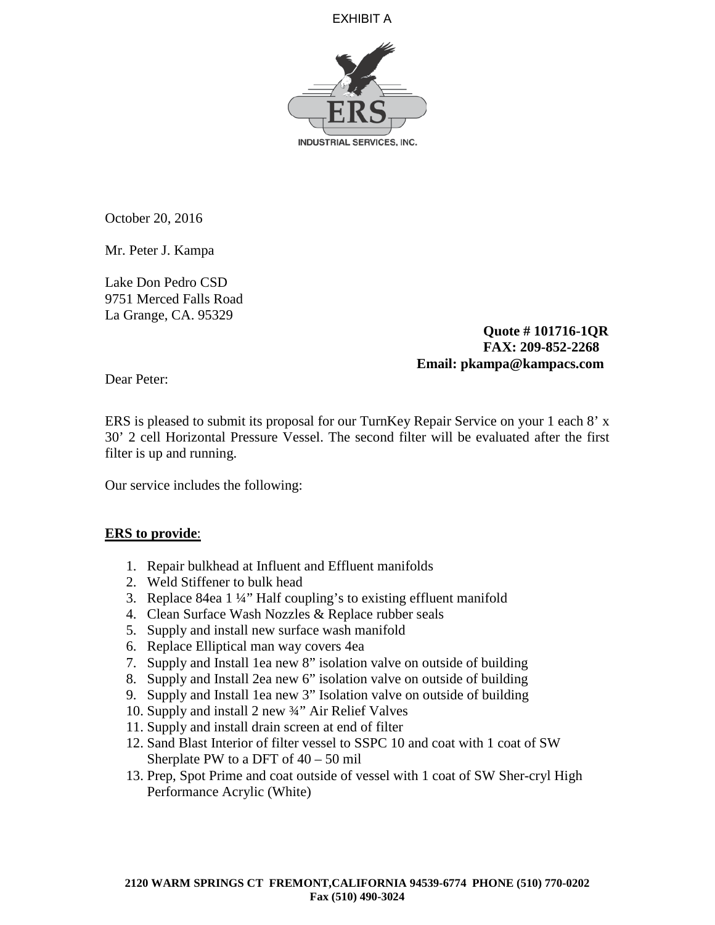EXHIBIT A



October 20, 2016

Mr. Peter J. Kampa

Lake Don Pedro CSD 9751 Merced Falls Road La Grange, CA. 95329

> **Quote # 101716-1QR FAX: 209-852-2268 Email: pkampa@kampacs.com**

Dear Peter:

ERS is pleased to submit its proposal for our TurnKey Repair Service on your 1 each 8' x 30' 2 cell Horizontal Pressure Vessel. The second filter will be evaluated after the first filter is up and running.

Our service includes the following:

## **ERS to provide**:

- 1. Repair bulkhead at Influent and Effluent manifolds
- 2. Weld Stiffener to bulk head
- 3. Replace 84ea 1 ¼" Half coupling's to existing effluent manifold
- 4. Clean Surface Wash Nozzles & Replace rubber seals
- 5. Supply and install new surface wash manifold
- 6. Replace Elliptical man way covers 4ea
- 7. Supply and Install 1ea new 8" isolation valve on outside of building
- 8. Supply and Install 2ea new 6" isolation valve on outside of building
- 9. Supply and Install 1ea new 3" Isolation valve on outside of building
- 10. Supply and install 2 new ¾" Air Relief Valves
- 11. Supply and install drain screen at end of filter
- 12. Sand Blast Interior of filter vessel to SSPC 10 and coat with 1 coat of SW Sherplate PW to a DFT of  $40 - 50$  mil
- 13. Prep, Spot Prime and coat outside of vessel with 1 coat of SW Sher-cryl High Performance Acrylic (White)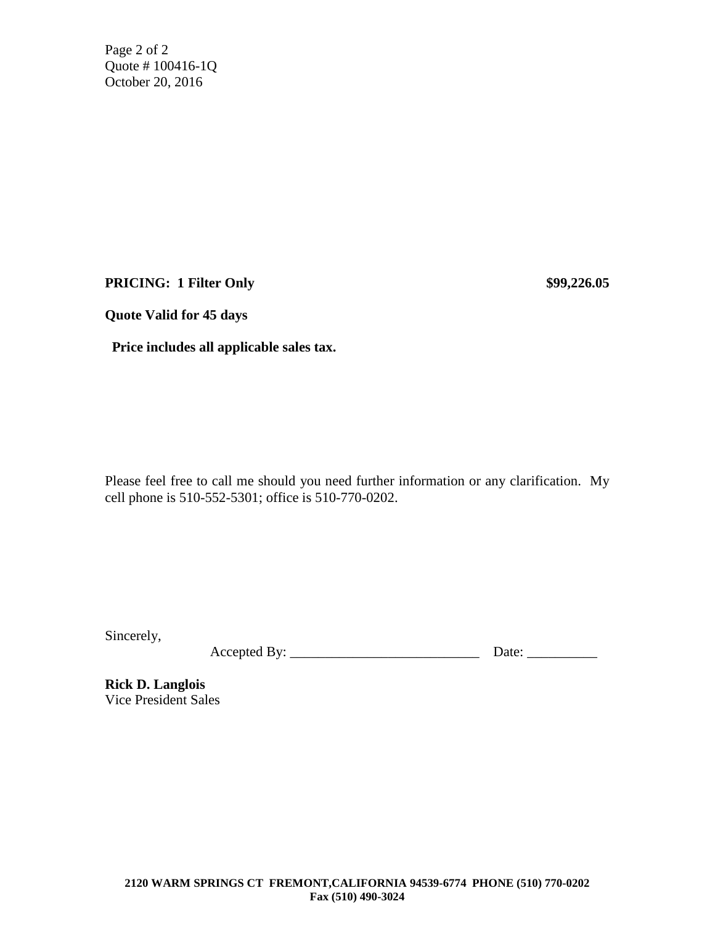Page 2 of 2 Quote # 100416-1Q October 20, 2016

**PRICING: 1 Filter Only \$99,226.05**

**Quote Valid for 45 days**

 **Price includes all applicable sales tax.**

Please feel free to call me should you need further information or any clarification. My cell phone is 510-552-5301; office is 510-770-0202.

Sincerely,

Accepted By: \_\_\_\_\_\_\_\_\_\_\_\_\_\_\_\_\_\_\_\_\_\_\_\_\_\_\_ Date: \_\_\_\_\_\_\_\_\_\_

**Rick D. Langlois** Vice President Sales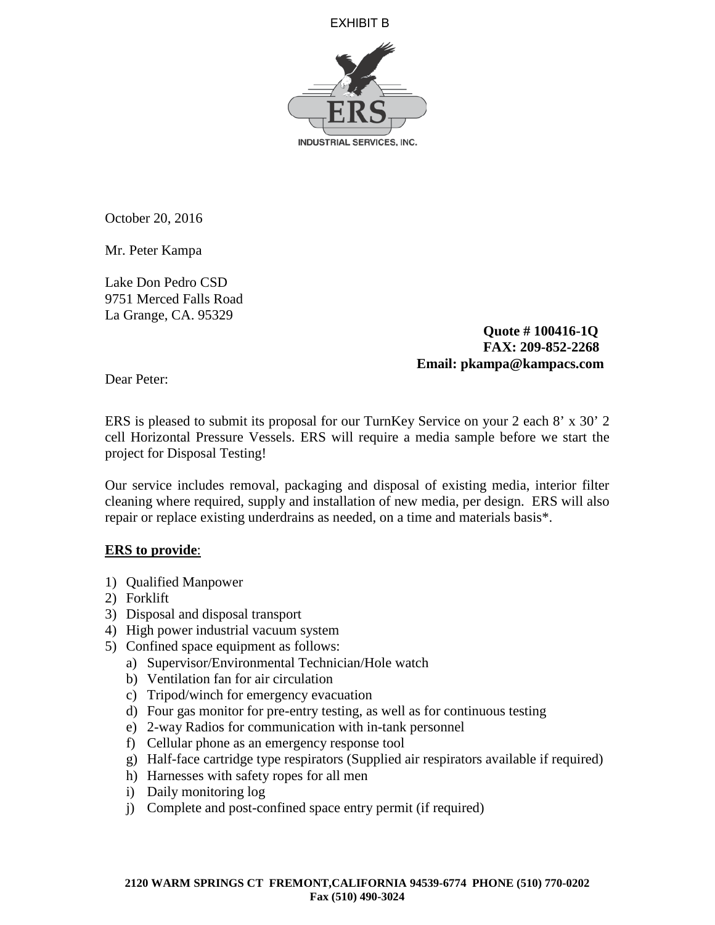EXHIBIT B



October 20, 2016

Mr. Peter Kampa

Lake Don Pedro CSD 9751 Merced Falls Road La Grange, CA. 95329

> **Quote # 100416-1Q FAX: 209-852-2268 Email: pkampa@kampacs.com**

Dear Peter:

ERS is pleased to submit its proposal for our TurnKey Service on your 2 each 8' x 30' 2 cell Horizontal Pressure Vessels. ERS will require a media sample before we start the project for Disposal Testing!

Our service includes removal, packaging and disposal of existing media, interior filter cleaning where required, supply and installation of new media, per design. ERS will also repair or replace existing underdrains as needed, on a time and materials basis\*.

# **ERS to provide**:

- 1) Qualified Manpower
- 2) Forklift
- 3) Disposal and disposal transport
- 4) High power industrial vacuum system
- 5) Confined space equipment as follows:
	- a) Supervisor/Environmental Technician/Hole watch
	- b) Ventilation fan for air circulation
	- c) Tripod/winch for emergency evacuation
	- d) Four gas monitor for pre-entry testing, as well as for continuous testing
	- e) 2-way Radios for communication with in-tank personnel
	- f) Cellular phone as an emergency response tool
	- g) Half-face cartridge type respirators (Supplied air respirators available if required)
	- h) Harnesses with safety ropes for all men
	- i) Daily monitoring log
	- j) Complete and post-confined space entry permit (if required)